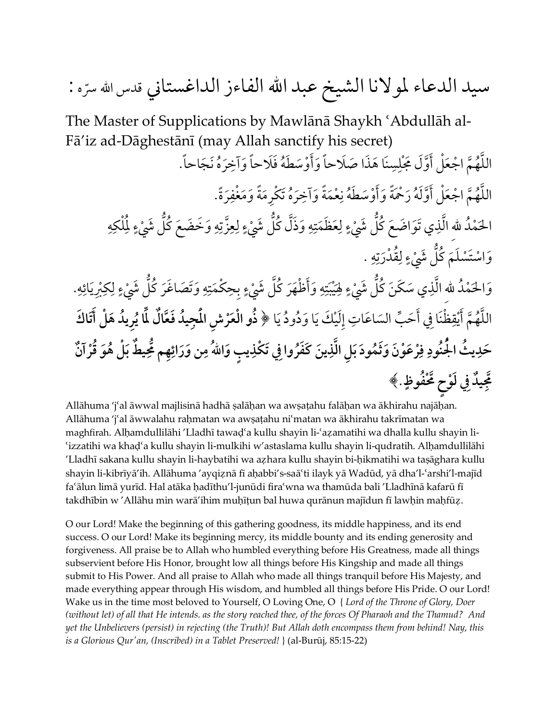## سيد الدعاء لمولانا الشيخ عبد الله الفاءز الداغستاني قدس الله سرّه :

The Master of Supplications by Mawlānā Shaykh 'Abdullāh al-Fā'iz ad-Dāghestānī (may Allah sanctify his secret)

اللَّهُمَّ اجْعَلْ أَوَّلَ مَجْلِسِنَا هَذَا صَلَاحاً وَأَوْسَطَهُ فَلَاحاً وَآخِرَهُ نَجَاحاً. َّ َّ ِ ُ اللَّهُمَّ اجْعَلْ أَوَّلَهُ رَحْمَةً وَأَوْسَطَهُ نِعْمَةً وَاخِرَهُ تَكْرِمَةً وَمَغْفِرَةً. َّ َّ **∫** ِ ُ **ृ** َ الحَمْدُ للهِ الَّذِي تَوَاضَعَ كُلُّ شَيْءٍ لِعَظَمَتِهِ وَذَلَّ كُلُّ شَيْءٍ لِعِزَّتِهِ وَخَضَعَ كُلُّ شَيْءٍ لِمُلْكِهِ َّ ُّ ُ **ٍ** ِ  $\overline{\phantom{a}}$ ُّ َّ **ٍ** ِ **U** َّ  $\ddot{\phantom{a}}$ ُّ ُ  $\overline{\phantom{a}}$ ِ وَاسْتَسْلَمَ كُلُّ شَيْءٍ لِقُدْرَتِهِ . ُّ **ٍ** ُّ ،  $\ddot{\phantom{a}}$ وَالحَمْدُ للهِ الَّذِي سَكَنَ كُلُّ شَيْءٍ فِيَْبَتِهِ وَأَظْهَرَ كُلَّ شَيْءٍ بِحِكْمَتِهِ وَتَصَاغَرَ كُلُّ شَيْءٍ لِكِبْرِيَائِهِ. َّ ُّ ُ **ٍ ृ** ֪֪֪֖֧֖֧֖֧ׅ֖֖֖ׅ֖֝֟֟֓֝֝֟֟֟֟֟֟֟֟֟֟֟֟֟֟֟֟֟֟֟֟֝֬֝֟֝֟֝֬֝֟֩֕֝֬֝֟֓֟֬֝֬֝֬֟֩֝֬֝֬֝֬֝֝֬֝֬֝֬֝֝֬֝֬֝֝֬֝֬֝֝֬֝֝֬֝֝֬֝֝֬֝֝<br>֧֪֪֪֖֝֝֝**֧**<br>֧֝  $\overline{\phantom{a}}$ ا<br>ا **ٍ**  $\overline{\phantom{a}}$ ُّ ُ **ٍ**  $\overline{\phantom{a}}$  $\overline{\phantom{a}}$ **∶** ِاللَّهُمَّ أَيْقِظْنَا فِي أَحَبٍّ السَاعَاتِ إِلَيْكَ يَا وَدُودُ يَا ﴿ ذُو الْعَرْشِ الْمَجِيدُ فَعَّالٌ لَّمَا يُرِيدُ هَلْ أَتَاكَ َّ **َ**ّ ِّ  $\overline{\phantom{a}}$ ؚ<br>ؚ **ُ ُ َِّ ٌ ُ** حَدِيثُ الْجُنُودِ فِرْعَوْنَ وَثَمُودَ بَلِ الَّذِينَ كَفَرُوا فِي تَكْذِيبٍ وَاللَّهُ مِن وَرَائِهِم مُّحِيطٌ بَلْ هُوَ قُرْآنٌ **َِّ ِ ُ ُ ِ ٍِ فوظ حٍ مح َّ ْ يدِ في لَ ْو مج** .﴾ **ِ ٌ ُ َّ**

Allāhuma 'jʿal āwwal majlisinā hadhā ṣalāḥan wa awṣaṭahu falāḥan wa ākhirahu najāḥan. Allāhuma 'jʿal āwwalahu raḥmatan wa awṣaṭahu niʿmatan wa ākhirahu takrīmatan wa maghfirah. Alhamdullilāhi 'Lladhī tawad'a kullu shayin li-'azamatihi wa dhalla kullu shayin li-'izzatihi wa khad'a kullu shayin li-mulkihi w'astaslama kullu shayin li-qudratih. Alḥamdullilāhi 'Lladhī sakana kullu shayin li-haybatihi wa aƸhara kullu shayin bi-ħikmatihi wa tašāghara kullu shayin li-kibrīyā'ih. Allāhuma 'ayqiẓnā fī aḥabbi's-saāʿti ilayk yā Wadūd, yā dha'l-ʿarshi'l-majīd fa¿ālun limā yurīd. Hal atāka ħadīthu'l-junūdi fira¿wna wa thamūda bali 'Lladhīnā kafarū fī takdhībin w 'Allāhu min warā'ihim muḥīṭun bal huwa qurānun majīdun fī lawḥin maḥfūẓ.

O our Lord! Make the beginning of this gathering goodness, its middle happiness, and its end success. O our Lord! Make its beginning mercy, its middle bounty and its ending generosity and forgiveness. All praise be to Allah who humbled everything before His Greatness, made all things subservient before His Honor, brought low all things before His Kingship and made all things submit to His Power. And all praise to Allah who made all things tranquil before His Majesty, and made everything appear through His wisdom, and humbled all things before His Pride. O our Lord! Wake us in the time most beloved to Yourself, O Loving One, O { *Lord of the Throne of Glory, Doer (without let) of all that He intends. as the story reached thee, of the forces Of Pharaoh and the Thamud? And yet the Unbelievers (persist) in rejecting (the Truth)! But Allah doth encompass them from behind! Nay, this is a Glorious Qur'an, (Inscribed) in a Tablet Preserved!* } (al-Burūj, 85:15-22)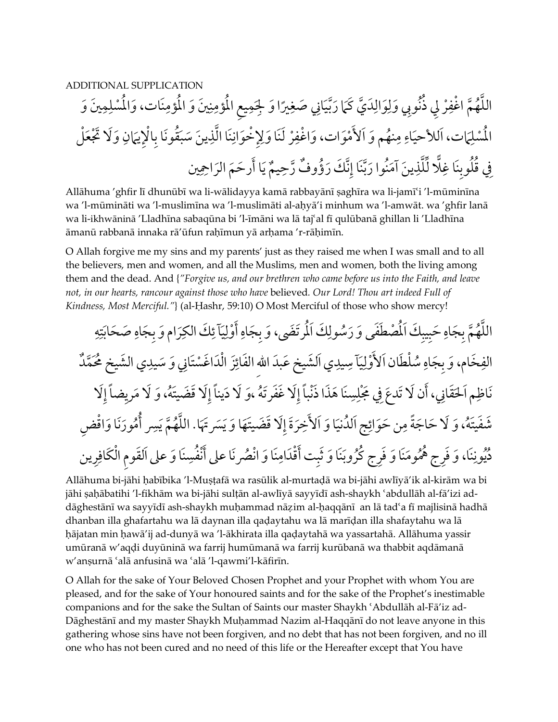ADDITIONAL SUPPLICATION ْ ِر م ْ اغف َّ ه ن ِوبي ا ُ ذُ ُ الل ِلي َّ ًير ِ َانيِ َ صغ ي َّ َما َ رب ي َ ك َّ َد ِ َوال ِ ُ ِ ِلج َو َو َ <sup>ل</sup> ِ م ِ يع الم ؤم ُ َو <sup>ن</sup> َين ِ ُ ْس ِ الم ِ ؤمنَ َ ات، والم ل <sup>م</sup> َين َو ِ ُ ْس الم ِ َ َت، ا َما ل ِ للأحي <sup>ا</sup> ِ اء نه َم و َ ُ ْمَوات، َو َ وَلا َْ تجَعْل م َ ِ لأ ِ َيمان ِ ْالإ ق َونا ب َُ ِ َ ين َ سب ِ َّ نَا الذ ِِ ْخَوان ْ َ ل َ نَا ولإ ِر ْ اغف يم ِ ٌ رح وف َّ ٌ ؤ ُ ن َك َ ر َّ ِ َّنَا إ َ َ نُوا رب ِ َ ين آم لذ َّ ل ِّ لا ًّ ِ ِنَا غ لوب ُ ق ُ َ ِفي احمين ِ ِ َرحَم َ الر ا أَ <sup>ي</sup>

Allāhuma 'ghfir lī dhunūbī wa li-wālidayya kamā rabbayānī šaghīra wa li-jamī¿i 'l-mūminīna wa 'l-mūmināti wa 'l-muslimīna wa 'l-muslimāti al-aħyā'i minhum wa 'l-amwāt. wa 'ghfir lanā wa li-ikhwāninā 'Lladhīna sabaqūna bi 'l-īmāni wa lā taj¿al fī qulūbanā ghillan li 'Lladhīna āmanū rabbanā innaka rā'ūfun raħīmun yā arħama 'r-rāħimīn.

O Allah forgive me my sins and my parents' just as they raised me when I was small and to all the believers, men and women, and all the Muslims, men and women, both the living among them and the dead. And {*"Forgive us, and our brethren who came before us into the Faith, and leave not, in our hearts, rancour against those who have* believed*. Our Lord! Thou art indeed Full of Kindness, Most Merciful."*} (al-Ḥashr, 59:10) O Most Merciful of those who show mercy!

م َّ ه اللُ ِ َّ ِ َج ب ِ َح اه ُ ِ ب الم ُس َطَف ْص يب َكَ ُ َرتَضى، َو ِ َى و َر الم ِ ول َكَ َ اه <sup>آ</sup>ِ َج <sup>ب</sup> ي ِ ْول ِ <sup>ئ</sup> َك ِ أَ ِ ر َ ام و َ الك ِ َج ب ِ اب َص َحَ اه ت ِ ه ِ َ ام، و الف َخ ِ ِ َج ب َآ ْل َط َ ان ا ُس اه َ ي ِلأ ِ ْول <sup>د</sup> ِ َ و َس انيِ تَ ْس ائَز ْالَد َ اغ ِ يد َي ا َلش َ يخ ع َبد االلهِ َ الف ِس ٌ ُ ََّم يد َ ي الشيخ مح َق اظ َم ا ِ َن َ ِ مجَ ْ ِفي ، أ َن لاَ ت َدع َ انيِ لح ل َِلا ِ ِ ًضا إ مري ه َ، و َلا َ َِلا َ قَضيتَُ د ً ينا إ ه َ،و َلا َ َِلا َ غَف َرتُ سنَ َ ا هَذ َ ا ذْن ًبا إ ه َ، و َشَفيتَ َ ائ َج ا ُلد ِ <sup>م</sup> َن حَو ِ ًة َ ح َ اج َلا ُ ا َ ا و ني َ َ لأ <sup>ي</sup> ِ مَ َّ ه اللُ َّ يَسرََتها. َِلا َ قَضيتََها َوَ ُ أُ ِسر خَرَة <sup>إ</sup> ِض َن َ ا و ْاق َور م ي ُ د ِ وننَ َ ا، و َف ِ ُ ر ُ ج هم ج ك ِ ومنَ َ ا و َف َ ُ ُ ر ث ُ ِ ر َوبنَ َ ا وَ ِ ت أْقَد َ ب صر ان َ ا و ْ امنَ ف َ َن ُ ُ ِ سنَ َ ا و َ على ا َلق ِوم ْال َك ِ ا على أْن رين ِ اف

Allāhuma bi-jāhi ħabībika 'l-Mušţafā wa rasūlik al-murtaļā wa bi-jāhi awlīyā'ik al-kirām wa bi jāhi saḥābatihi 'l-fikhām wa bi-jāhi sulṭān al-awlīyā sayyīdī ash-shaykh ʿabdullāh al-fā'izi addāghestānī wa sayyīdī ash-shaykh muḥammad nāzim al-ḥaqqānī an lā tadʿa fī majlisinā hadhā dhanban illa ghafartahu wa lā daynan illa qaḍaytahu wa lā marīḍan illa shafaytahu wa lā hājatan min hawā'ij ad-dunyā wa 'l-ākhirata illa qaḍaytahā wa yassartahā. Allāhuma yassir umūranā w'aqļi duyūninā wa farrij humūmanā wa farrij kurūbanā wa thabbit aqdāmanā w'anșurnā 'alā anfusinā wa 'alā 'l-qawmi'l-kāfirīn.

O Allah for the sake of Your Beloved Chosen Prophet and your Prophet with whom You are pleased, and for the sake of Your honoured saints and for the sake of the Prophet's inestimable companions and for the sake the Sultan of Saints our master Shaykh ¿Abdullāh al-Fā'iz ad-Dāghestānī and my master Shaykh Muħammad Nazim al-Haqqānī do not leave anyone in this gathering whose sins have not been forgiven, and no debt that has not been forgiven, and no ill one who has not been cured and no need of this life or the Hereafter except that You have